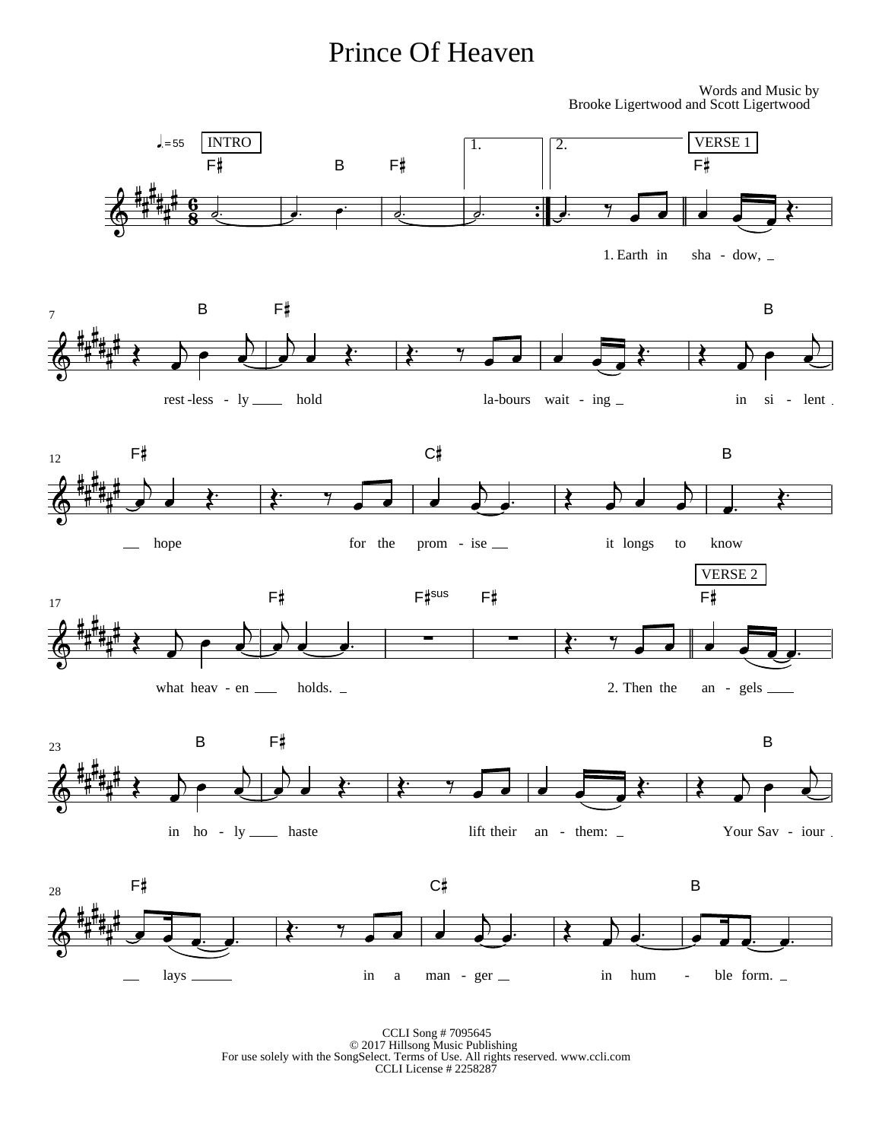## **Prince Of Heaven**

Words and Music by Brooke Ligertwood and Scott Ligertwood



CCLI Song # 7095645<br>
© 2017 Hillsong Music Publishing<br>
For use solely with the SongSelect. Terms of Use. All rights reserved. www.ccli.com<br>
CCLI License # 2258287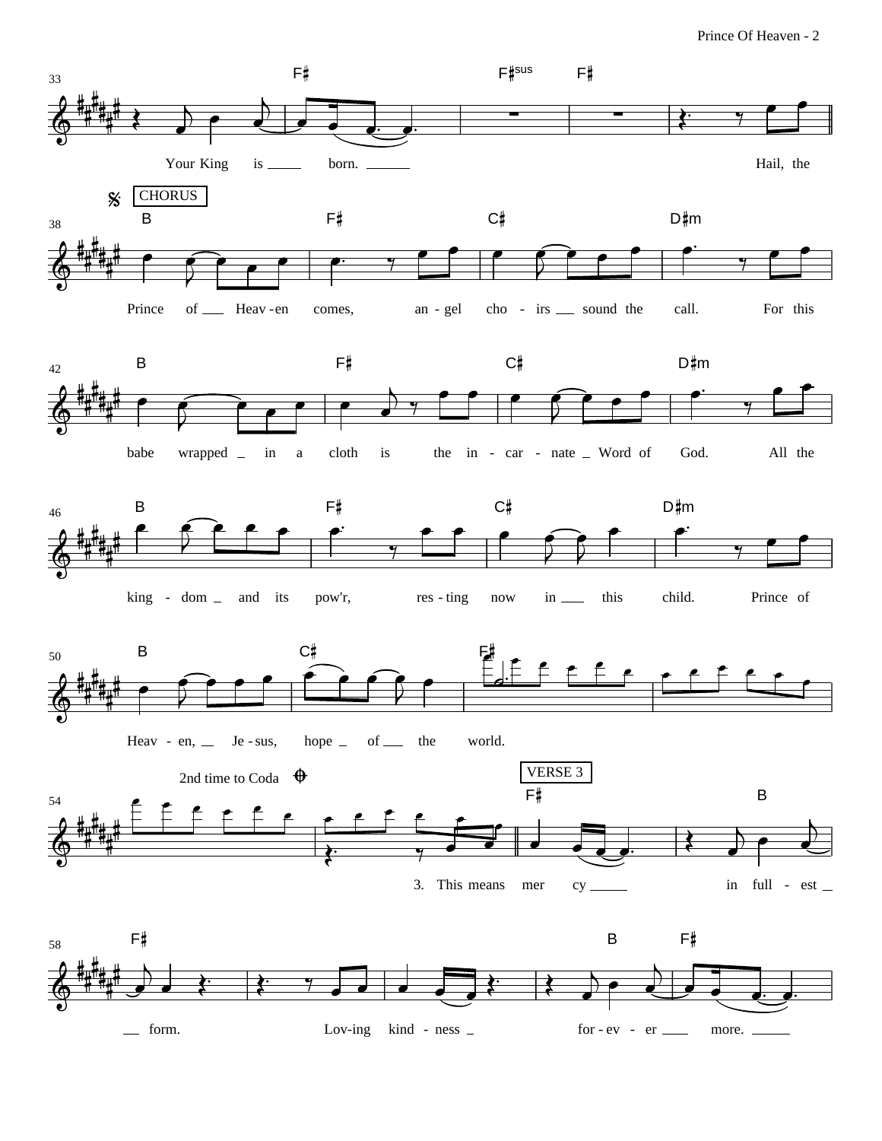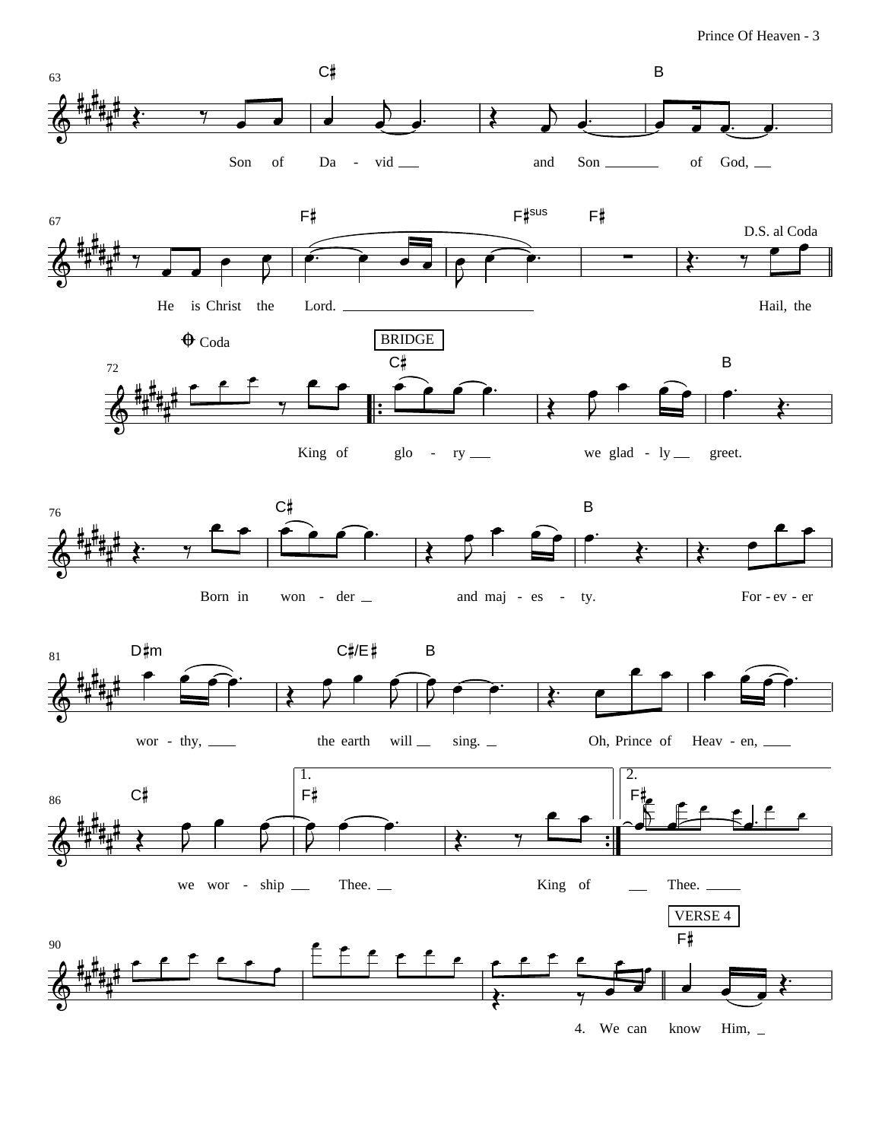Prince Of Heaven - 3

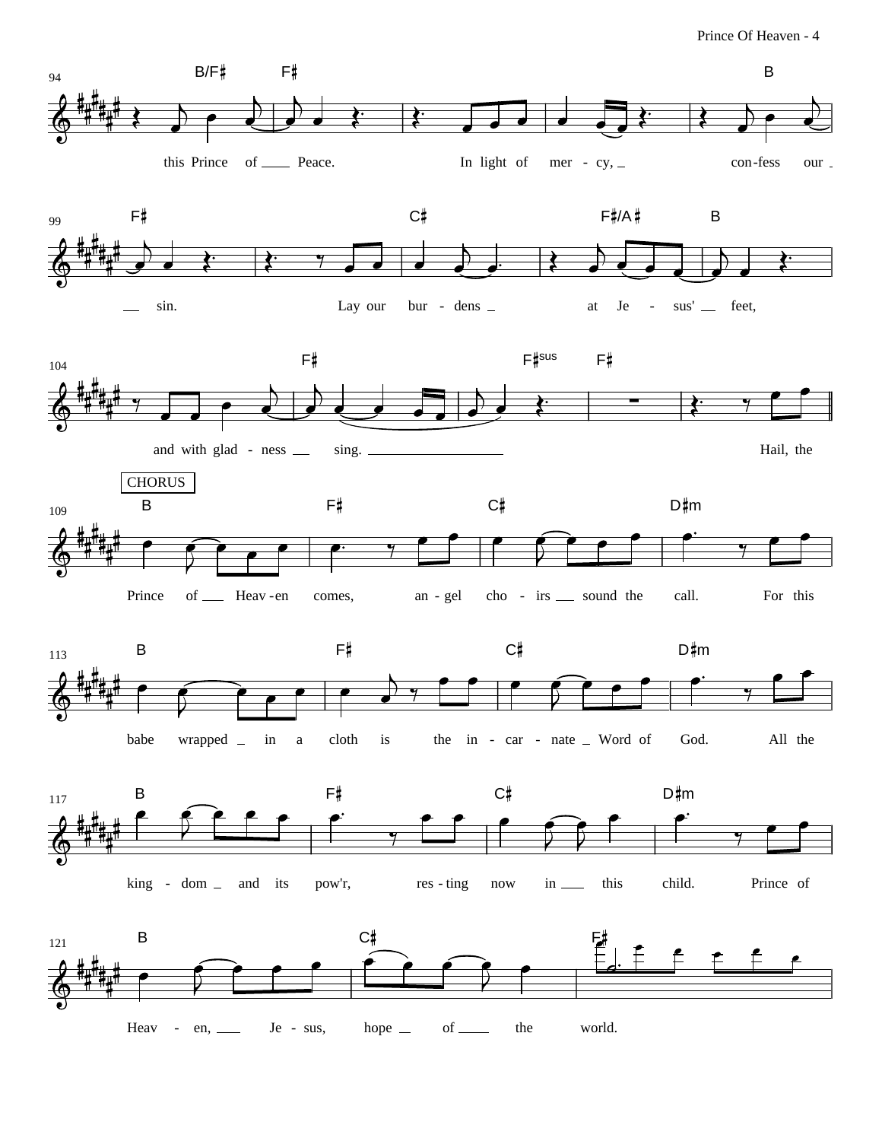